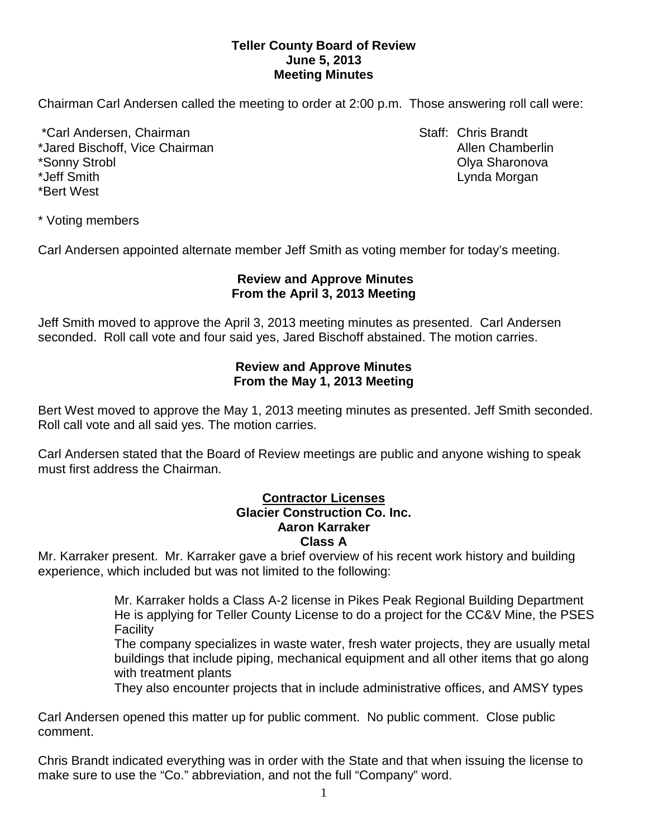## **Teller County Board of Review June 5, 2013 Meeting Minutes**

Chairman Carl Andersen called the meeting to order at 2:00 p.m. Those answering roll call were:

\*Carl Andersen, Chairman Staff: Chris Brandt \*Jared Bischoff, Vice Chairman Allen Chamberlin Allen Chamberlin \*Sonny Strobl Olya Sharonova \*Jeff Smith Lynda Morgan \*Bert West

\* Voting members

Carl Andersen appointed alternate member Jeff Smith as voting member for today's meeting.

# **Review and Approve Minutes From the April 3, 2013 Meeting**

Jeff Smith moved to approve the April 3, 2013 meeting minutes as presented. Carl Andersen seconded.Roll call vote and four said yes, Jared Bischoff abstained. The motion carries.

## **Review and Approve Minutes From the May 1, 2013 Meeting**

Bert West moved to approve the May 1, 2013 meeting minutes as presented. Jeff Smith seconded. Roll call vote and all said yes. The motion carries.

Carl Andersen stated that the Board of Review meetings are public and anyone wishing to speak must first address the Chairman.

#### **Contractor Licenses Glacier Construction Co. Inc. Aaron Karraker Class A**

Mr. Karraker present. Mr. Karraker gave a brief overview of his recent work history and building experience, which included but was not limited to the following:

> Mr. Karraker holds a Class A-2 license in Pikes Peak Regional Building Department He is applying for Teller County License to do a project for the CC&V Mine, the PSES Facility

> The company specializes in waste water, fresh water projects, they are usually metal buildings that include piping, mechanical equipment and all other items that go along with treatment plants

They also encounter projects that in include administrative offices, and AMSY types

Carl Andersen opened this matter up for public comment. No public comment. Close public comment.

Chris Brandt indicated everything was in order with the State and that when issuing the license to make sure to use the "Co." abbreviation, and not the full "Company" word.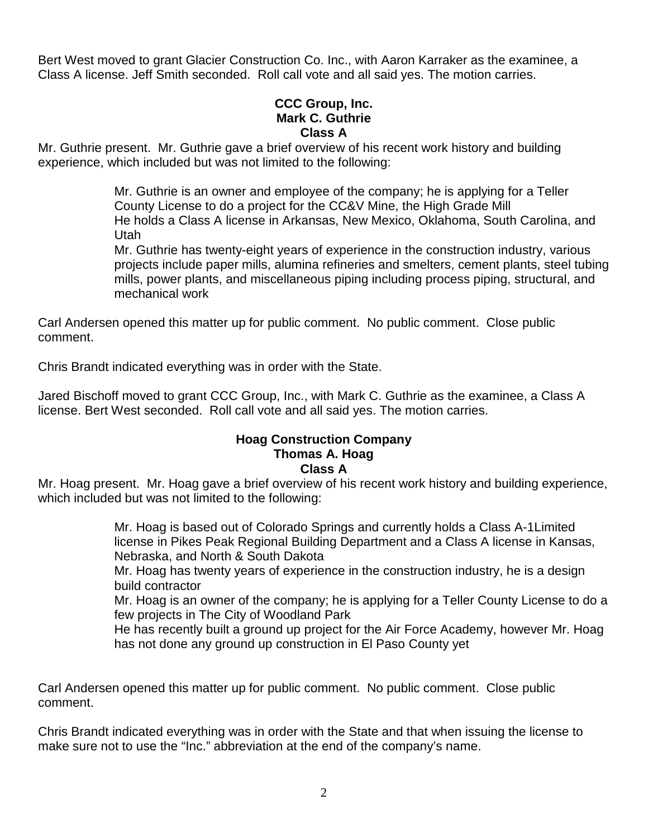Bert West moved to grant Glacier Construction Co. Inc., with Aaron Karraker as the examinee, a Class A license. Jeff Smith seconded. Roll call vote and all said yes. The motion carries.

## **CCC Group, Inc. Mark C. Guthrie Class A**

Mr. Guthrie present. Mr. Guthrie gave a brief overview of his recent work history and building experience, which included but was not limited to the following:

> Mr. Guthrie is an owner and employee of the company; he is applying for a Teller County License to do a project for the CC&V Mine, the High Grade Mill He holds a Class A license in Arkansas, New Mexico, Oklahoma, South Carolina, and Utah

Mr. Guthrie has twenty-eight years of experience in the construction industry, various projects include paper mills, alumina refineries and smelters, cement plants, steel tubing mills, power plants, and miscellaneous piping including process piping, structural, and mechanical work

Carl Andersen opened this matter up for public comment. No public comment. Close public comment.

Chris Brandt indicated everything was in order with the State.

Jared Bischoff moved to grant CCC Group, Inc., with Mark C. Guthrie as the examinee, a Class A license. Bert West seconded. Roll call vote and all said yes. The motion carries.

#### **Hoag Construction Company Thomas A. Hoag Class A**

Mr. Hoag present. Mr. Hoag gave a brief overview of his recent work history and building experience, which included but was not limited to the following:

> Mr. Hoag is based out of Colorado Springs and currently holds a Class A-1Limited license in Pikes Peak Regional Building Department and a Class A license in Kansas, Nebraska, and North & South Dakota

Mr. Hoag has twenty years of experience in the construction industry, he is a design build contractor

Mr. Hoag is an owner of the company; he is applying for a Teller County License to do a few projects in The City of Woodland Park

He has recently built a ground up project for the Air Force Academy, however Mr. Hoag has not done any ground up construction in El Paso County yet

Carl Andersen opened this matter up for public comment. No public comment. Close public comment.

Chris Brandt indicated everything was in order with the State and that when issuing the license to make sure not to use the "Inc." abbreviation at the end of the company's name.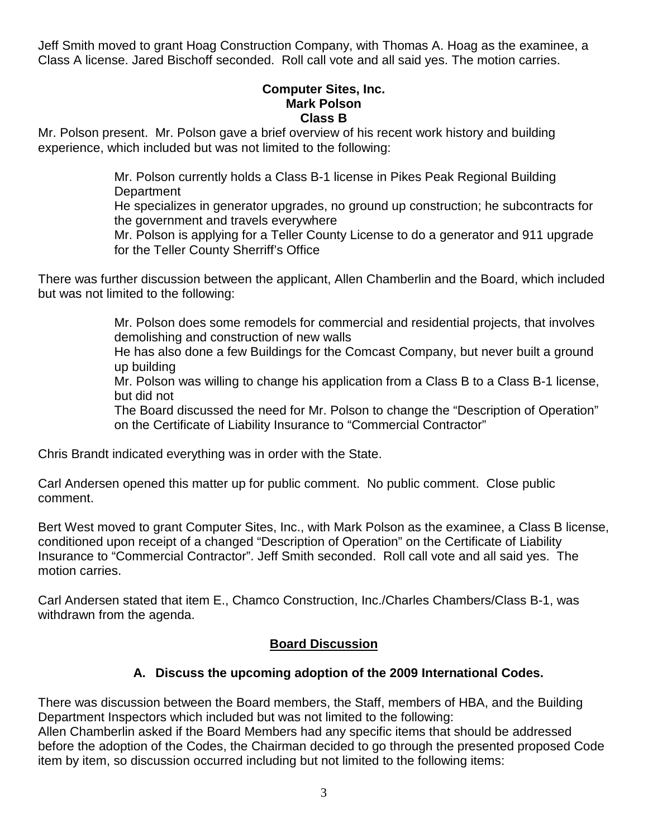Jeff Smith moved to grant Hoag Construction Company, with Thomas A. Hoag as the examinee, a Class A license. Jared Bischoff seconded. Roll call vote and all said yes. The motion carries.

### **Computer Sites, Inc. Mark Polson Class B**

Mr. Polson present. Mr. Polson gave a brief overview of his recent work history and building experience, which included but was not limited to the following:

> Mr. Polson currently holds a Class B-1 license in Pikes Peak Regional Building **Department**

He specializes in generator upgrades, no ground up construction; he subcontracts for the government and travels everywhere

Mr. Polson is applying for a Teller County License to do a generator and 911 upgrade for the Teller County Sherriff's Office

There was further discussion between the applicant, Allen Chamberlin and the Board, which included but was not limited to the following:

> Mr. Polson does some remodels for commercial and residential projects, that involves demolishing and construction of new walls

> He has also done a few Buildings for the Comcast Company, but never built a ground up building

> Mr. Polson was willing to change his application from a Class B to a Class B-1 license, but did not

> The Board discussed the need for Mr. Polson to change the "Description of Operation" on the Certificate of Liability Insurance to "Commercial Contractor"

Chris Brandt indicated everything was in order with the State.

Carl Andersen opened this matter up for public comment. No public comment. Close public comment.

Bert West moved to grant Computer Sites, Inc., with Mark Polson as the examinee, a Class B license, conditioned upon receipt of a changed "Description of Operation" on the Certificate of Liability Insurance to "Commercial Contractor". Jeff Smith seconded. Roll call vote and all said yes. The motion carries.

Carl Andersen stated that item E., Chamco Construction, Inc./Charles Chambers/Class B-1, was withdrawn from the agenda.

# **Board Discussion**

# **A. Discuss the upcoming adoption of the 2009 International Codes.**

There was discussion between the Board members, the Staff, members of HBA, and the Building Department Inspectors which included but was not limited to the following:

Allen Chamberlin asked if the Board Members had any specific items that should be addressed before the adoption of the Codes, the Chairman decided to go through the presented proposed Code item by item, so discussion occurred including but not limited to the following items: